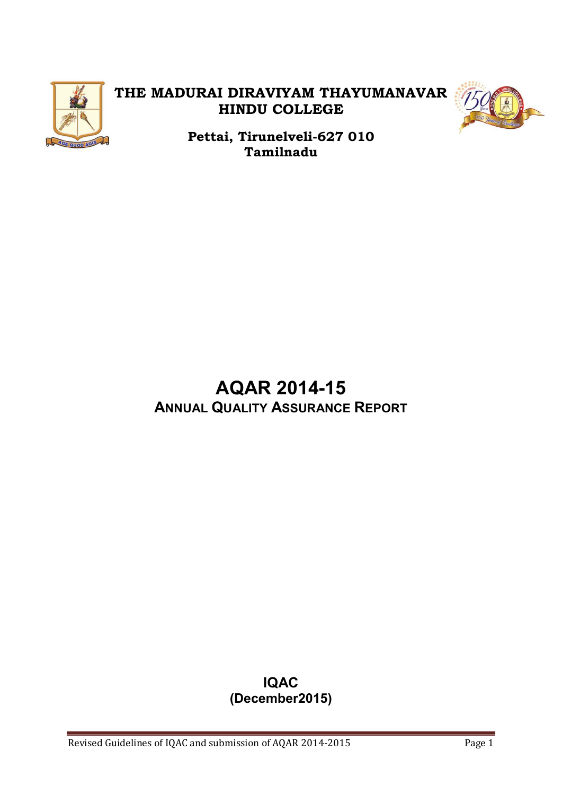

# **THE MADURAI DIRAVIYAM THAYUMANAVAR HINDU COLLEGE**



**Pettai, Tirunelveli-627 010 Tamilnadu** 

# **AQAR 2014-15 ANNUAL QUALITY ASSURANCE REPORT**

#### **IQAC (December2015)**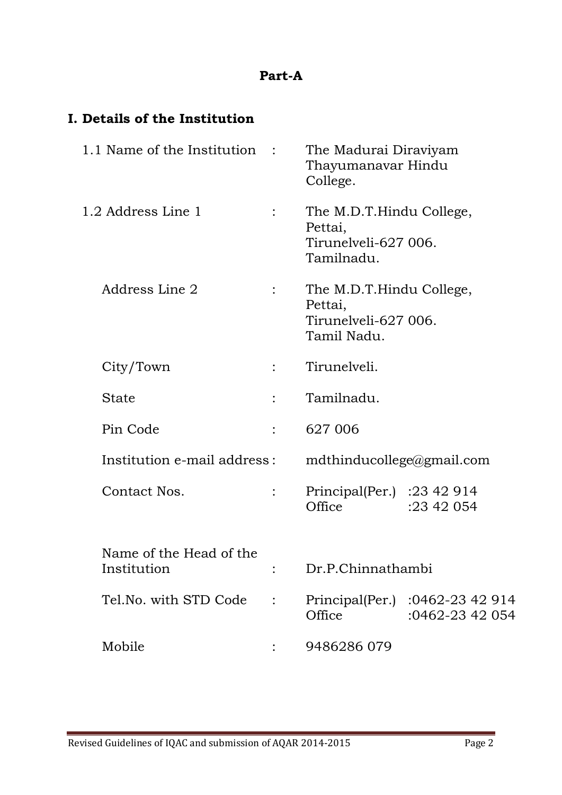#### **Part-A**

# **I. Details of the Institution**

| 1.1 Name of the Institution            |                | The Madurai Diraviyam<br>Thayumanavar Hindu<br>College.                    |                                    |  |
|----------------------------------------|----------------|----------------------------------------------------------------------------|------------------------------------|--|
| 1.2 Address Line 1                     |                | The M.D.T.Hindu College,<br>Pettai,<br>Tirunelveli-627 006.<br>Tamilnadu.  |                                    |  |
| Address Line 2                         |                | The M.D.T.Hindu College,<br>Pettai,<br>Tirunelveli-627 006.<br>Tamil Nadu. |                                    |  |
| City/Town                              |                | Tirunelveli.                                                               |                                    |  |
| <b>State</b>                           | $\ddot{\cdot}$ | Tamilnadu.                                                                 |                                    |  |
| Pin Code                               |                | 627 006                                                                    |                                    |  |
| Institution e-mail address:            |                | mdthinducollege@gmail.com                                                  |                                    |  |
| Contact Nos.                           |                | Principal(Per.) : $23\,42\,914$<br>Office                                  | :23 42 054                         |  |
| Name of the Head of the<br>Institution |                | Dr.P.Chinnathambi                                                          |                                    |  |
| Tel. No. with STD Code                 |                | Principal(Per.)<br>Office                                                  | :0462-23 42 914<br>:0462-23 42 054 |  |
| Mobile                                 |                | 9486286 079                                                                |                                    |  |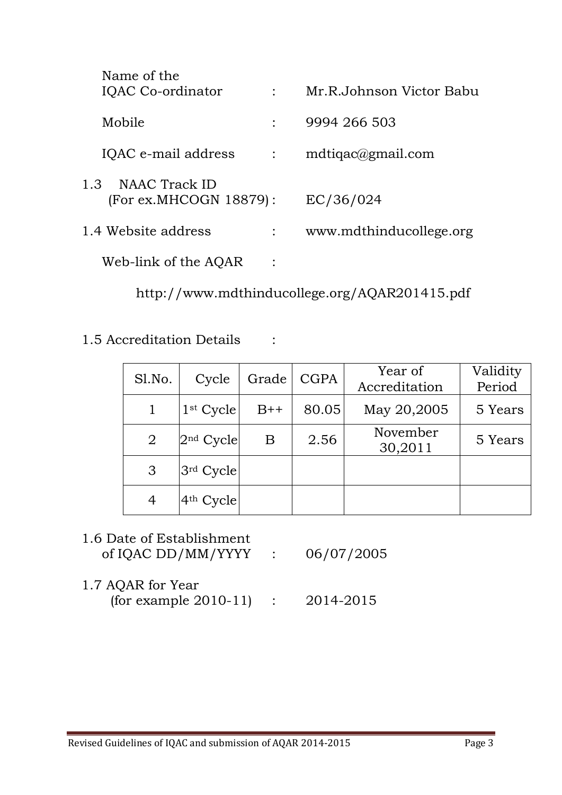| Name of the<br>IQAC Co-ordinator               |                | Mr.R.Johnson Victor Babu |
|------------------------------------------------|----------------|--------------------------|
| Mobile                                         |                | 9994 266 503             |
| IQAC e-mail address                            | $\ddot{\cdot}$ | $mdtiqac \& gmail.com$   |
| 1.3<br>NAAC Track ID<br>(For ex.MHCOGN 18879): |                | EC/36/024                |
| 1.4 Website address                            |                | www.mdthinducollege.org  |
| Web-link of the AQAR                           |                |                          |

http://www.mdthinducollege.org/AQAR201415.pdf

1.5 Accreditation Details :

| Sl.No. | Cycle       | Grade | <b>CGPA</b> | Year of<br>Accreditation | Validity<br>Period |
|--------|-------------|-------|-------------|--------------------------|--------------------|
|        | $1st$ Cycle | $B++$ | 80.05       | May 20,2005              | 5 Years            |
| 2      | $2nd$ Cycle | Β     | 2.56        | November<br>30,2011      | 5 Years            |
| 3      | $3rd$ Cycle |       |             |                          |                    |
| 4      | $4th$ Cycle |       |             |                          |                    |

# 1.6 Date of Establishment of IQAC DD/MM/YYYY : 06/07/2005

1.7 AQAR for Year (for example 2010-11) : 2014-2015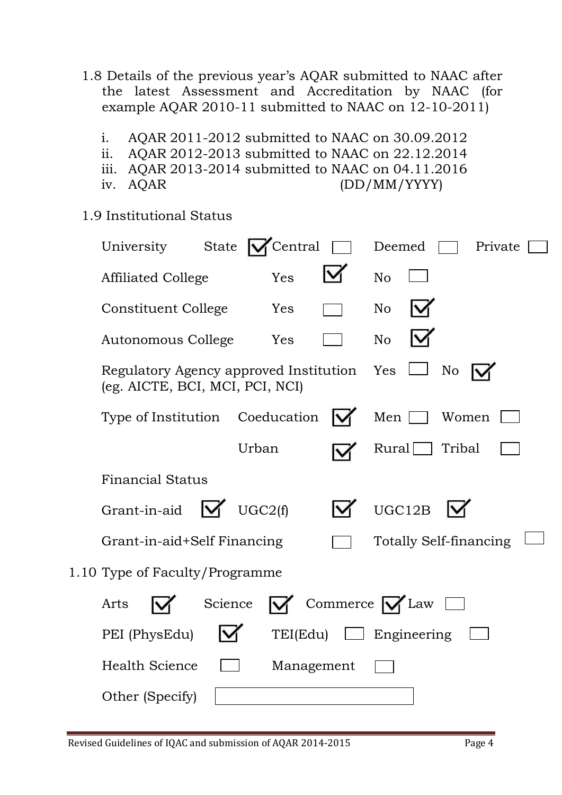- 1.8 Details of the previous year's AQAR submitted to NAAC after the latest Assessment and Accreditation by NAAC (for example AQAR 2010-11 submitted to NAAC on 12-10-2011)
	- i. AQAR 2011-2012 submitted to NAAC on 30.09.2012
	- ii. AQAR 2012-2013 submitted to NAAC on 22.12.2014
	- iii. AQAR 2013-2014 submitted to NAAC on 04.11.2016
	-

iv. AQAR (DD/MM/YYYY)

1.9 Institutional Status

| State $\vert \cdot \vert$<br>University                                   | Central    |  | Deemed<br>Private                 |
|---------------------------------------------------------------------------|------------|--|-----------------------------------|
| <b>Affiliated College</b>                                                 | Yes        |  | N <sub>o</sub>                    |
| Constituent College                                                       | Yes        |  | No                                |
| Autonomous College                                                        | Yes        |  | No                                |
| Regulatory Agency approved Institution<br>(eg. AICTE, BCI, MCI, PCI, NCI) |            |  | Yes<br>No                         |
| Type of Institution Coeducation                                           |            |  | Men $\lceil$<br>Women             |
|                                                                           | Urban      |  | Rural<br>Tribal                   |
| <b>Financial Status</b>                                                   |            |  |                                   |
| $\overline{\mathsf{M}}$<br>Grant-in-aid                                   | UGC2(f)    |  | UGC12B                            |
| Grant-in-aid+Self Financing                                               |            |  | <b>Totally Self-financing</b>     |
| 1.10 Type of Faculty/Programme                                            |            |  |                                   |
| Arts                                                                      | Science    |  | Commerce $\sqrt{\phantom{a}}$ Law |
| PEI (PhysEdu)                                                             | TEI(Edu)   |  | $\Box$ Engineering                |
| <b>Health Science</b>                                                     | Management |  |                                   |
| Other (Specify)                                                           |            |  |                                   |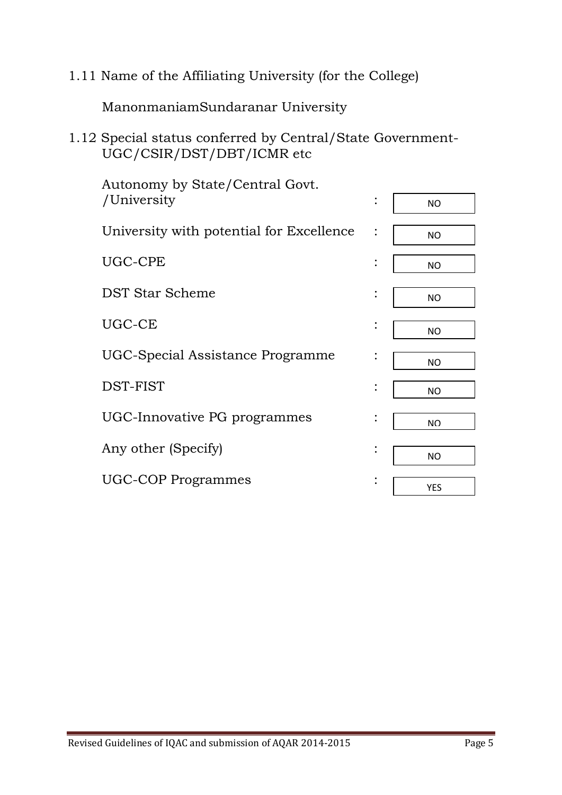1.11 Name of the Affiliating University (for the College)

ManonmaniamSundaranar University

1.12 Special status conferred by Central/State Government-UGC/CSIR/DST/DBT/ICMR etc

| Autonomy by State/Central Govt.          |                |                |
|------------------------------------------|----------------|----------------|
| /University                              | $\ddot{\cdot}$ | <b>NO</b>      |
| University with potential for Excellence | $\ddot{\cdot}$ | <b>NO</b>      |
| UGC-CPE                                  |                | <b>NO</b>      |
| <b>DST Star Scheme</b>                   | $\ddot{\cdot}$ | <b>NO</b>      |
| UGC-CE                                   | $\bullet$      | <b>NO</b>      |
| UGC-Special Assistance Programme         | :              | <b>NO</b>      |
| DST-FIST                                 |                | <b>NO</b>      |
| UGC-Innovative PG programmes             |                | N <sub>O</sub> |
| Any other (Specify)                      | $\bullet$      | <b>NO</b>      |
| <b>UGC-COP Programmes</b>                |                | <b>YES</b>     |
|                                          |                |                |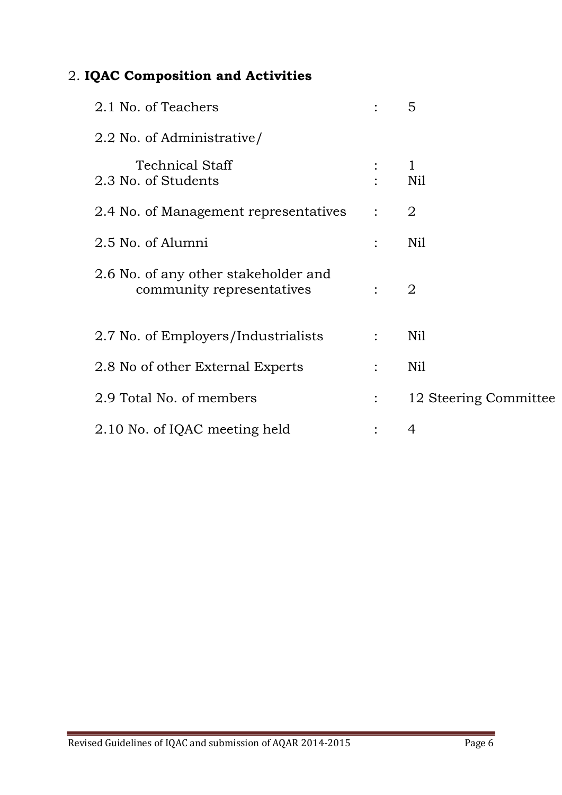# 2. **IQAC Composition and Activities**

| 2.1 No. of Teachers                                               |                      | 5                     |
|-------------------------------------------------------------------|----------------------|-----------------------|
| 2.2 No. of Administrative/                                        |                      |                       |
| <b>Technical Staff</b><br>2.3 No. of Students                     |                      | 1<br>Nil              |
| 2.4 No. of Management representatives                             | $\mathcal{L}$        | 2                     |
| 2.5 No. of Alumni                                                 |                      | Nil                   |
| 2.6 No. of any other stakeholder and<br>community representatives |                      | 2                     |
| 2.7 No. of Employers/Industrialists                               | $\ddot{\cdot}$       | Nil                   |
| 2.8 No of other External Experts                                  |                      | Nil                   |
| 2.9 Total No. of members                                          | $\ddot{\phantom{a}}$ | 12 Steering Committee |
| 2.10 No. of IQAC meeting held                                     |                      | 4                     |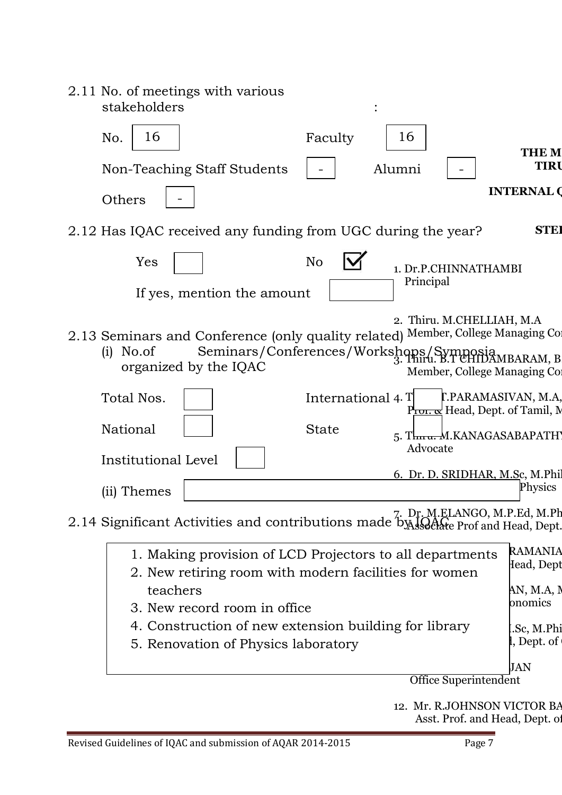| 2.11 No. of meetings with various<br>stakeholders                                                                                                              |                   |                                                                                                       |                                                       |
|----------------------------------------------------------------------------------------------------------------------------------------------------------------|-------------------|-------------------------------------------------------------------------------------------------------|-------------------------------------------------------|
| 16<br>No.                                                                                                                                                      | Faculty           | 16                                                                                                    | <b>THE M</b>                                          |
| Non-Teaching Staff Students                                                                                                                                    |                   | Alumni                                                                                                | <b>TIRU</b>                                           |
| Others                                                                                                                                                         |                   |                                                                                                       | <b>INTERNAL O</b>                                     |
| 2.12 Has IQAC received any funding from UGC during the year?                                                                                                   |                   |                                                                                                       | <b>STEI</b>                                           |
| Yes                                                                                                                                                            | N <sub>o</sub>    | 1. Dr.P.CHINNATHAMBI<br>Principal                                                                     |                                                       |
| If yes, mention the amount                                                                                                                                     |                   |                                                                                                       |                                                       |
| 2.13 Seminars and Conference (only quality related) Member, College Managing Col<br>No.of<br>(i)<br>organized by the IQAC                                      |                   | 2. Thiru. M.CHELLIAH, M.A.<br>Seminars/Conferences/Workshops/Symposia<br>Member, College Managing Cor |                                                       |
| Total Nos.                                                                                                                                                     | International 4.T | Pron. & Head, Dept. of Tamil, M                                                                       | <b>T.PARAMASIVAN, M.A.</b>                            |
| National                                                                                                                                                       | <b>State</b>      | 5. Thnu. M.KANAGASABAPATH)<br>Advocate                                                                |                                                       |
| Institutional Level                                                                                                                                            |                   |                                                                                                       |                                                       |
| (ii) Themes                                                                                                                                                    |                   | 6. Dr. D. SRIDHAR, M.Sc, M.Phil                                                                       | Physics                                               |
| 2.14 Significant Activities and contributions made by Joan Prof and Head, Dept.                                                                                |                   | 7. Dr. M.ELANGO, M.P.Ed, M.Ph                                                                         |                                                       |
| 1. Making provision of LCD Projectors to all departments<br>2. New retiring room with modern facilities for women<br>teachers<br>3. New record room in office. |                   |                                                                                                       | <b>RAMANIA</b><br>Head, Dept<br>AN, M.A, N<br>pnomics |
| 4. Construction of new extension building for library                                                                                                          |                   |                                                                                                       | .Sc, M.Phi<br>l, Dept. of                             |
| 5. Renovation of Physics laboratory                                                                                                                            |                   |                                                                                                       | JAN                                                   |
|                                                                                                                                                                |                   | Office Superintendent                                                                                 |                                                       |
|                                                                                                                                                                |                   | 12. Mr. R.JOHNSON VICTOR BA                                                                           |                                                       |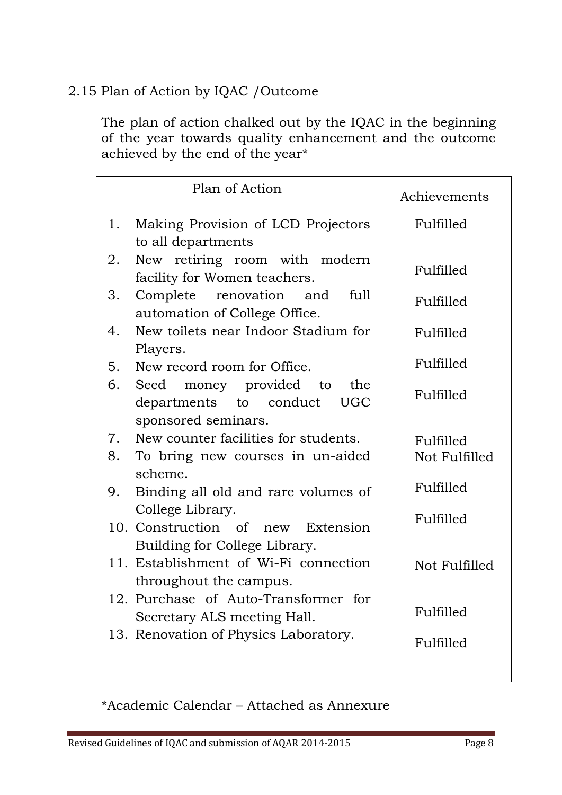# 2.15 Plan of Action by IQAC /Outcome

The plan of action chalked out by the IQAC in the beginning of the year towards quality enhancement and the outcome achieved by the end of the year\*

|    | Plan of Action                                                           | Achievements  |
|----|--------------------------------------------------------------------------|---------------|
| 1. | Making Provision of LCD Projectors                                       | Fulfilled     |
|    | to all departments                                                       |               |
| 2. | New retiring room with modern<br>facility for Women teachers.            | Fulfilled     |
| 3. | Complete renovation and<br>full<br>automation of College Office.         | Fulfilled     |
| 4. | New toilets near Indoor Stadium for<br>Players.                          | Fulfilled     |
| 5. | New record room for Office.                                              | Fulfilled     |
| 6. | Seed money provided<br>the<br>to<br><b>UGC</b><br>departments to conduct | Fulfilled     |
|    | sponsored seminars.                                                      |               |
| 7. | New counter facilities for students.                                     | Fulfilled     |
| 8. | To bring new courses in un-aided<br>scheme.                              | Not Fulfilled |
| 9. | Binding all old and rare volumes of                                      | Fulfilled     |
|    | College Library.<br>10. Construction of new Extension                    | Fulfilled     |
|    | Building for College Library.<br>11. Establishment of Wi-Fi connection   |               |
|    | throughout the campus.                                                   | Not Fulfilled |
|    | 12. Purchase of Auto-Transformer for                                     | Fulfilled     |
|    | Secretary ALS meeting Hall.<br>13. Renovation of Physics Laboratory.     |               |
|    |                                                                          | Fulfilled     |
|    |                                                                          |               |

\*Academic Calendar – Attached as Annexure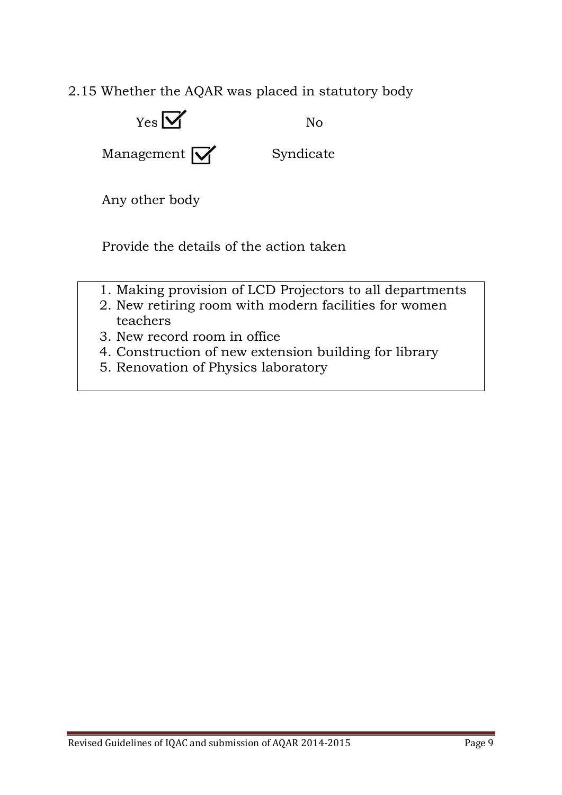2.15 Whether the AQAR was placed in statutory body



Any other body

Provide the details of the action taken

- 1. Making provision of LCD Projectors to all departments
- 2. New retiring room with modern facilities for women teachers
- 3. New record room in office
- 4. Construction of new extension building for library
- 5. Renovation of Physics laboratory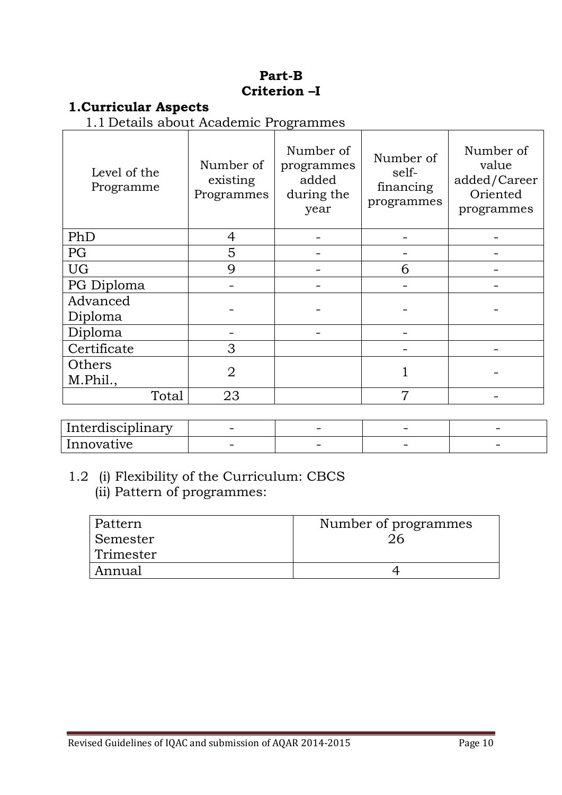#### **Part-B Criterion –I**

#### **1.Curricular Aspects**

1.1 Details about Academic Programmes

| Level of the<br>Programme | Number of<br>existing<br>Programmes | Number of<br>programmes<br>added<br>during the<br>year | Number of<br>self-<br>financing<br>programmes | Number of<br>value<br>added/Career<br>Oriented<br>programmes |
|---------------------------|-------------------------------------|--------------------------------------------------------|-----------------------------------------------|--------------------------------------------------------------|
| PhD                       | 4                                   |                                                        |                                               |                                                              |
| PG                        | 5                                   |                                                        |                                               |                                                              |
| <b>UG</b>                 | 9                                   |                                                        | 6                                             |                                                              |
| PG Diploma                |                                     |                                                        |                                               |                                                              |
| Advanced<br>Diploma       |                                     |                                                        |                                               |                                                              |
| Diploma                   |                                     |                                                        |                                               |                                                              |
| Certificate               | 3                                   |                                                        |                                               |                                                              |
| Others<br>M.Phil.,        | $\overline{2}$                      |                                                        |                                               |                                                              |
| Total                     | 23                                  |                                                        | 7                                             |                                                              |

| . .<br>Interdisciplinary | - | -                        |   |
|--------------------------|---|--------------------------|---|
| Innovative               | - | $\overline{\phantom{a}}$ | - |

# 1.2 (i) Flexibility of the Curriculum: CBCS (ii) Pattern of programmes:

| Pattern   | Number of programmes |
|-----------|----------------------|
| ⊦Semester |                      |
| Trimester |                      |
| Annual    |                      |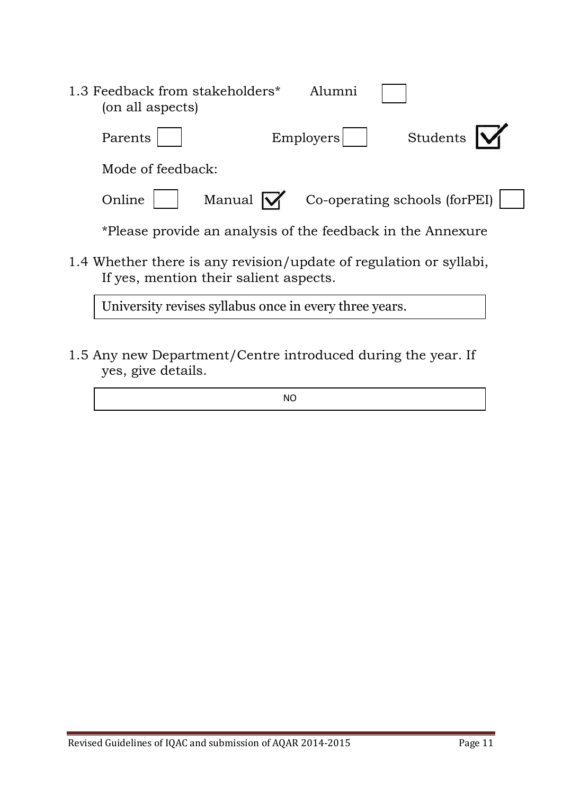| 1.3 Feedback from stakeholders*<br>(on all aspects)                                                          |                     | Alumni    |                               |  |  |  |
|--------------------------------------------------------------------------------------------------------------|---------------------|-----------|-------------------------------|--|--|--|
| Parents                                                                                                      |                     | Emplovers | Students                      |  |  |  |
| Mode of feedback:                                                                                            |                     |           |                               |  |  |  |
| Online                                                                                                       | Manual $\mathsf{W}$ |           | Co-operating schools (forPEI) |  |  |  |
| *Please provide an analysis of the feedback in the Annexure                                                  |                     |           |                               |  |  |  |
| 1.4 Whether there is any revision/update of regulation or syllabi,<br>If yes, mention their salient aspects. |                     |           |                               |  |  |  |

University revises syllabus once in every three years.

 $\overline{a}$ 

1.5 Any new Department/Centre introduced during the year. If yes, give details.

NO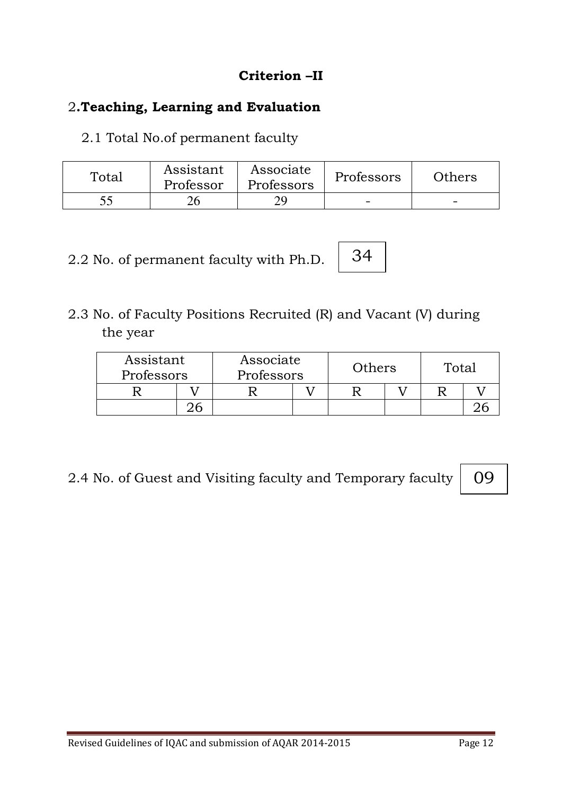# **Criterion –II**

# 2**.Teaching, Learning and Evaluation**

2.1 Total No.of permanent faculty

| Total | Assistant<br>Professor | Associate<br>Professors | Professors | Others |
|-------|------------------------|-------------------------|------------|--------|
|       |                        |                         |            |        |

2.2 No. of permanent faculty with Ph.D.

2.3 No. of Faculty Positions Recruited (R) and Vacant (V) during the year

| Assistant<br>Professors | Associate<br>Professors |  | Others | Total |  |
|-------------------------|-------------------------|--|--------|-------|--|
|                         |                         |  |        |       |  |
|                         |                         |  |        |       |  |

34

2.4 No. of Guest and Visiting faculty and Temporary faculty

09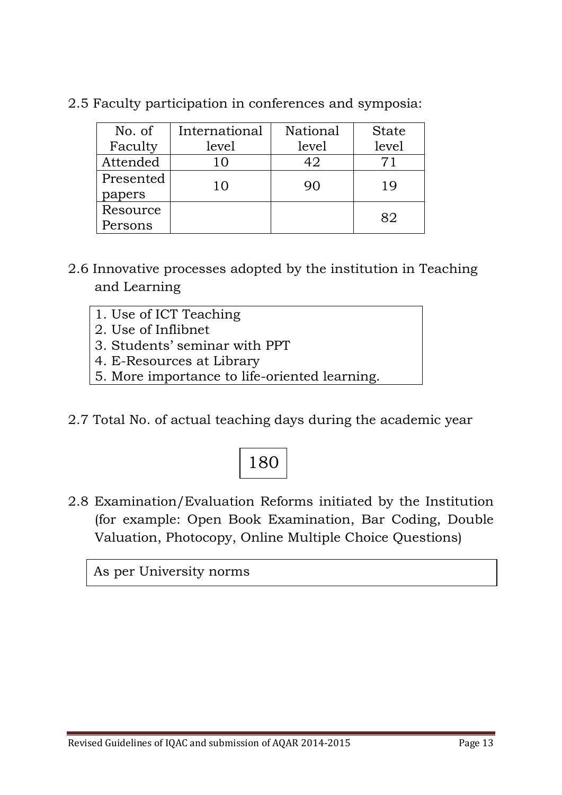| No. of    | International | National | <b>State</b> |
|-----------|---------------|----------|--------------|
| Faculty   | level         | level    | level        |
| Attended  | 10            | 42       | 71           |
| Presented | 10            | 90       | 19           |
| papers    |               |          |              |
| Resource  |               |          | 89           |
| Persons   |               |          |              |

2.5 Faculty participation in conferences and symposia:

- 2.6 Innovative processes adopted by the institution in Teaching and Learning
	- 1. Use of ICT Teaching
	- 2. Use of Inflibnet
	- 3. Students' seminar with PPT
	- 4. E-Resources at Library
	- 5. More importance to life-oriented learning.
- 2.7 Total No. of actual teaching days during the academic year

# 180

2.8 Examination/Evaluation Reforms initiated by the Institution (for example: Open Book Examination, Bar Coding, Double Valuation, Photocopy, Online Multiple Choice Questions)

As per University norms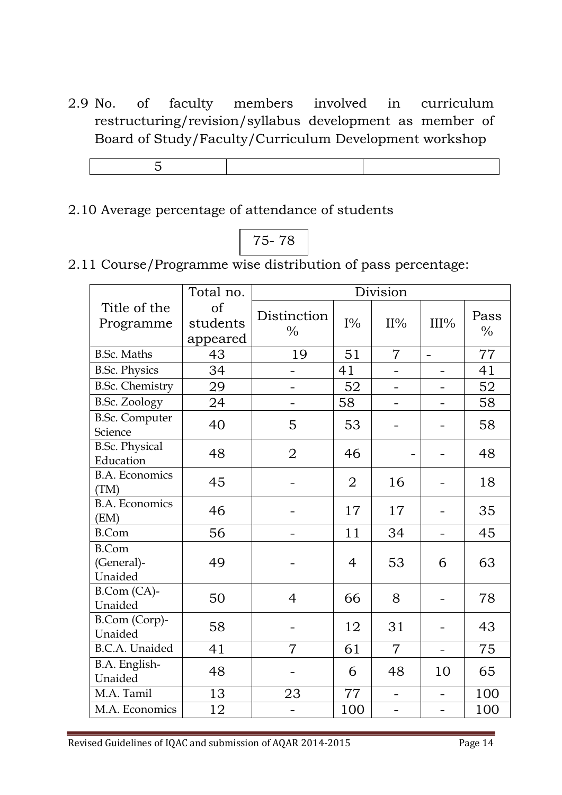2.9 No. of faculty members involved in curriculum restructuring/revision/syllabus development as member of Board of Study/Faculty/Curriculum Development workshop

#### 2.10 Average percentage of attendance of students

# 75- 78

2.11 Course/Programme wise distribution of pass percentage:

|                                       | Total no.                  |                              |                | Division       |                   |                       |
|---------------------------------------|----------------------------|------------------------------|----------------|----------------|-------------------|-----------------------|
| Title of the<br>Programme             | of<br>students<br>appeared | Distinction<br>$\frac{0}{0}$ | $I\%$          | $II\%$         | III%              | Pass<br>$\frac{0}{0}$ |
| <b>B.Sc. Maths</b>                    | 43                         | 19                           | 51             | $\overline{7}$ | $\qquad \qquad -$ | 77                    |
| <b>B.Sc. Physics</b>                  | 34                         |                              | 41             |                |                   | 41                    |
| <b>B.Sc. Chemistry</b>                | 29                         |                              | 52             |                |                   | 52                    |
| <b>B.Sc. Zoology</b>                  | 24                         |                              | 58             |                |                   | 58                    |
| <b>B.Sc. Computer</b><br>Science      | 40                         | 5                            | 53             |                |                   | 58                    |
| <b>B.Sc. Physical</b><br>Education    | 48                         | $\overline{2}$               | 46             |                |                   | 48                    |
| <b>B.A. Economics</b><br>(TM)         | 45                         |                              | $\overline{2}$ | 16             |                   | 18                    |
| <b>B.A. Economics</b><br>(EM)         | 46                         |                              | 17             | 17             |                   | 35                    |
| <b>B.Com</b>                          | 56                         |                              | 11             | 34             | $\equiv$          | 45                    |
| <b>B.Com</b><br>(General)-<br>Unaided | 49                         |                              | $\overline{4}$ | 53             | 6                 | 63                    |
| B.Com (CA)-<br>Unaided                | 50                         | $\overline{4}$               | 66             | 8              |                   | 78                    |
| B.Com (Corp)-<br>Unaided              | 58                         |                              | 12             | 31             |                   | 43                    |
| <b>B.C.A.</b> Unaided                 | 41                         | $\overline{7}$               | 61             | $\overline{7}$ | $\equiv$          | 75                    |
| B.A. English-<br>Unaided              | 48                         |                              | 6              | 48             | 10                | 65                    |
| M.A. Tamil                            | 13                         | 23                           | 77             |                |                   | 100                   |
| M.A. Economics                        | 12                         |                              | 100            |                |                   | 100                   |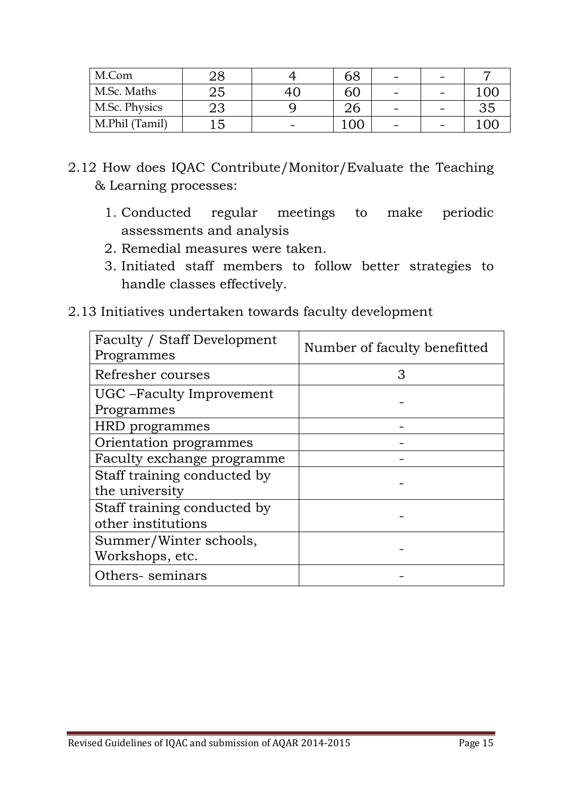| M.Com          |    |    | $\overline{\phantom{a}}$ |    |
|----------------|----|----|--------------------------|----|
| M.Sc. Maths    | 23 |    | $\overline{\phantom{a}}$ |    |
| M.Sc. Physics  | 23 | つん | $\overline{\phantom{a}}$ | 35 |
| M.Phil (Tamil) |    |    | -                        |    |

- 2.12 How does IQAC Contribute/Monitor/Evaluate the Teaching & Learning processes:
	- 1. Conducted regular meetings to make periodic assessments and analysis
	- 2. Remedial measures were taken.
	- 3. Initiated staff members to follow better strategies to handle classes effectively.
- 2.13 Initiatives undertaken towards faculty development

| Faculty / Staff Development<br>Programmes         | Number of faculty benefitted |
|---------------------------------------------------|------------------------------|
| Refresher courses                                 | З                            |
| UGC – Faculty Improvement<br>Programmes           |                              |
| HRD programmes                                    |                              |
| Orientation programmes                            |                              |
| Faculty exchange programme                        |                              |
| Staff training conducted by<br>the university     |                              |
| Staff training conducted by<br>other institutions |                              |
| Summer/Winter schools,<br>Workshops, etc.         |                              |
| Others-seminars                                   |                              |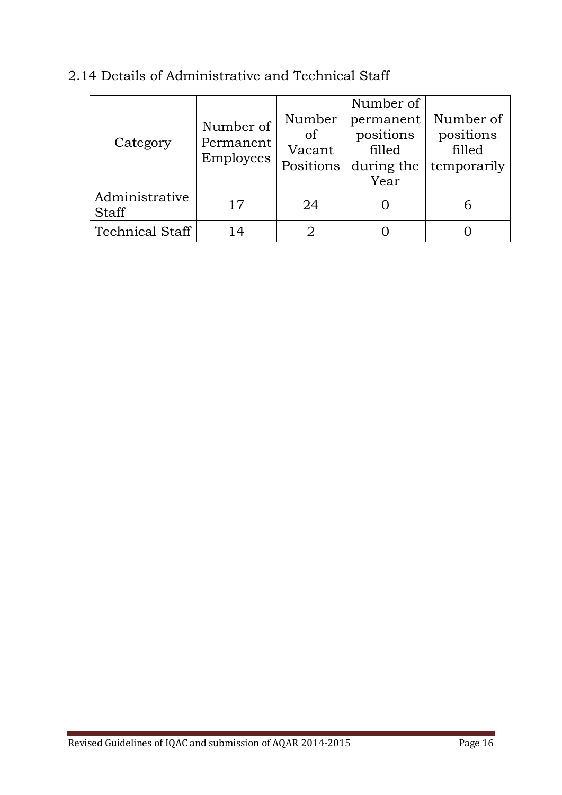| Category                       | Number of<br>Permanent<br>Employees | Number<br>of<br>Vacant<br>Positions | Number of<br>permanent<br>positions<br>filled<br>during the<br>Year | Number of<br>positions<br>filled<br>temporarily |
|--------------------------------|-------------------------------------|-------------------------------------|---------------------------------------------------------------------|-------------------------------------------------|
| Administrative<br><b>Staff</b> | 17                                  | 24                                  |                                                                     |                                                 |
| <b>Technical Staff</b>         | 14                                  |                                     |                                                                     |                                                 |

# 2.14 Details of Administrative and Technical Staff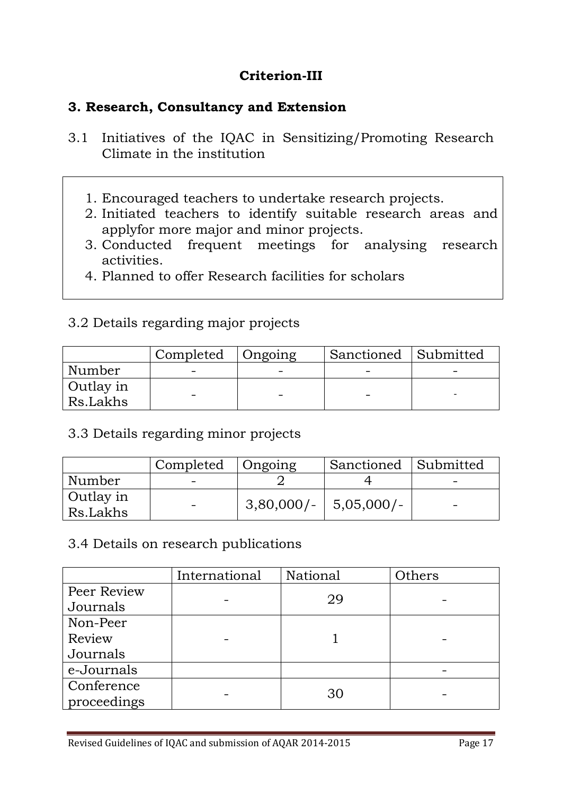# **Criterion-III**

#### **3. Research, Consultancy and Extension**

- 3.1 Initiatives of the IQAC in Sensitizing/Promoting Research Climate in the institution
	- 1. Encouraged teachers to undertake research projects.
	- 2. Initiated teachers to identify suitable research areas and applyfor more major and minor projects.
	- 3. Conducted frequent meetings for analysing research activities.
	- 4. Planned to offer Research facilities for scholars

# 3.2 Details regarding major projects

|                       | Completed | Ongoing | Sanctioned Submitted |  |
|-----------------------|-----------|---------|----------------------|--|
| Number                |           |         |                      |  |
| Outlay in<br>Rs.Lakhs |           |         |                      |  |

# 3.3 Details regarding minor projects

|                       | Completed   Ongoing |                           | Sanctioned Submitted |  |
|-----------------------|---------------------|---------------------------|----------------------|--|
| Number                |                     |                           |                      |  |
| Outlay in<br>Rs.Lakhs | $\sim$              | $3,80,000/ - 5,05,000/ -$ |                      |  |

#### 3.4 Details on research publications

|             | International | National | Others |
|-------------|---------------|----------|--------|
| Peer Review |               | 29       |        |
| Journals    |               |          |        |
| Non-Peer    |               |          |        |
| Review      |               |          |        |
| Journals    |               |          |        |
| e-Journals  |               |          |        |
| Conference  |               | 30       |        |
| proceedings |               |          |        |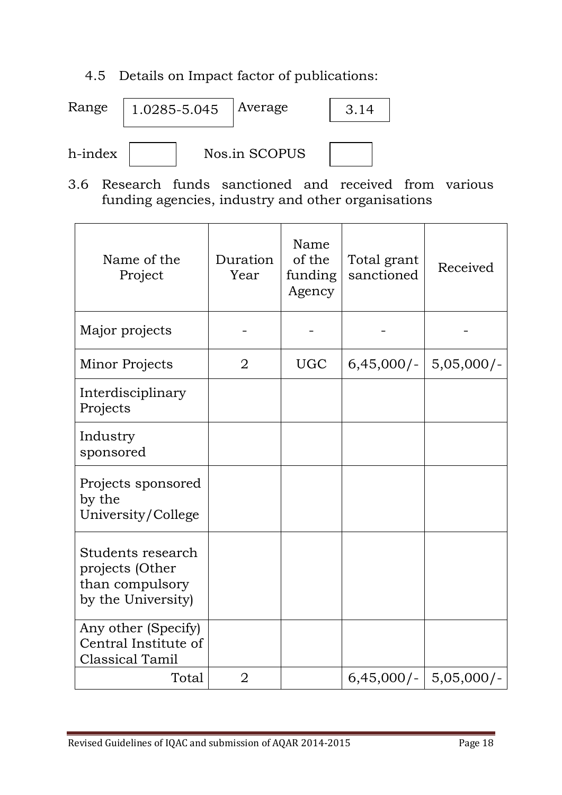# 4.5 Details on Impact factor of publications:



3.6 Research funds sanctioned and received from various funding agencies, industry and other organisations

| Name of the<br>Project                                                        | Duration<br>Year | Name<br>of the<br>funding<br>Agency | Total grant<br>sanctioned | Received                  |
|-------------------------------------------------------------------------------|------------------|-------------------------------------|---------------------------|---------------------------|
| Major projects                                                                |                  |                                     |                           |                           |
| Minor Projects                                                                | $\overline{2}$   | <b>UGC</b>                          | $6,45,000/-$              | $5,05,000/-$              |
| Interdisciplinary<br>Projects                                                 |                  |                                     |                           |                           |
| Industry<br>sponsored                                                         |                  |                                     |                           |                           |
| Projects sponsored<br>by the<br>University/College                            |                  |                                     |                           |                           |
| Students research<br>projects (Other<br>than compulsory<br>by the University) |                  |                                     |                           |                           |
| Any other (Specify)<br>Central Institute of<br><b>Classical Tamil</b>         |                  |                                     |                           |                           |
| Total                                                                         | $\overline{2}$   |                                     |                           | $6,45,000/ - 5,05,000/ -$ |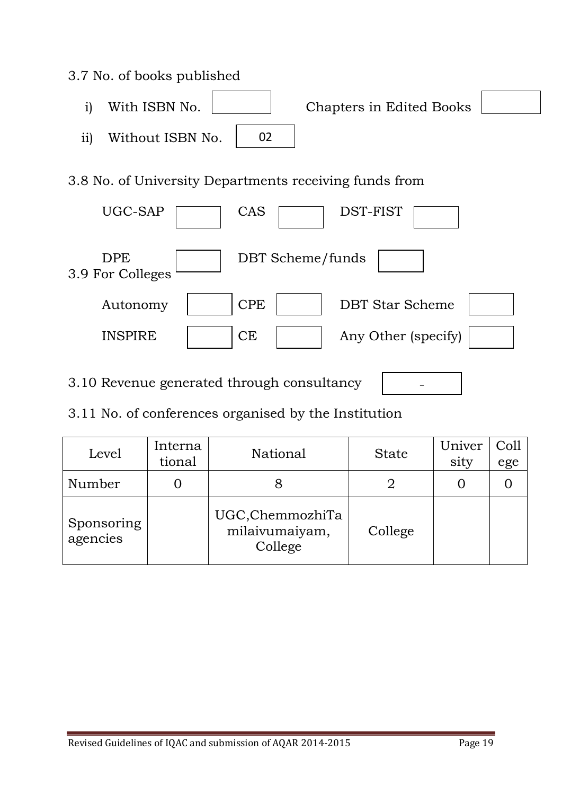

3.11 No. of conferences organised by the Institution

| Level                  | Interna<br>tional | National                                      | <b>State</b> | Univer<br>sity | Coll<br>ege |
|------------------------|-------------------|-----------------------------------------------|--------------|----------------|-------------|
| Number                 |                   |                                               |              |                |             |
| Sponsoring<br>agencies |                   | UGC, ChemmozhiTa<br>milaivumaiyam,<br>College | College      |                |             |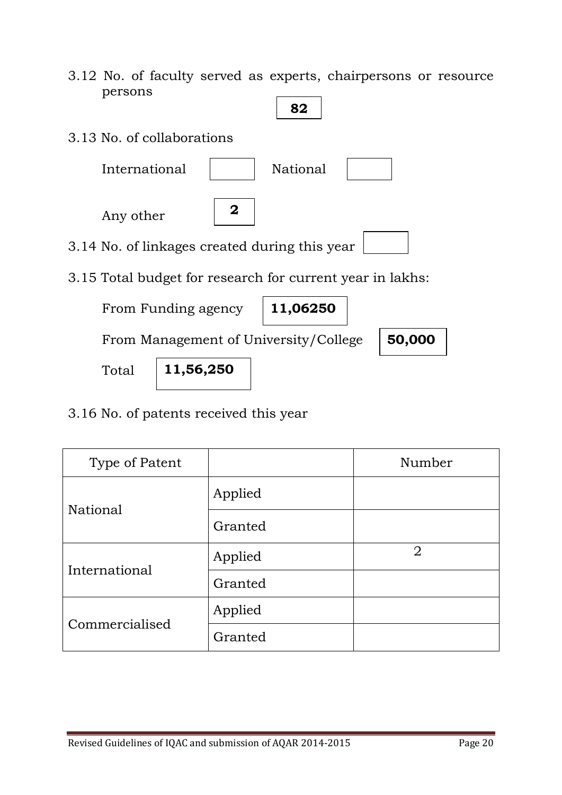- 3.12 No. of faculty served as experts, chairpersons or resource persons
- 3.13 No. of collaborations International | National Any other 3.14 No. of linkages created during this year 3.15 Total budget for research for current year in lakhs: From Funding agency From Management of University/College Total **82 2 11,06250 11,56,250 50,000**
- 3.16 No. of patents received this year

| Type of Patent |         | Number         |
|----------------|---------|----------------|
|                | Applied |                |
| National       | Granted |                |
| International  | Applied | $\overline{2}$ |
|                | Granted |                |
| Commercialised | Applied |                |
|                | Granted |                |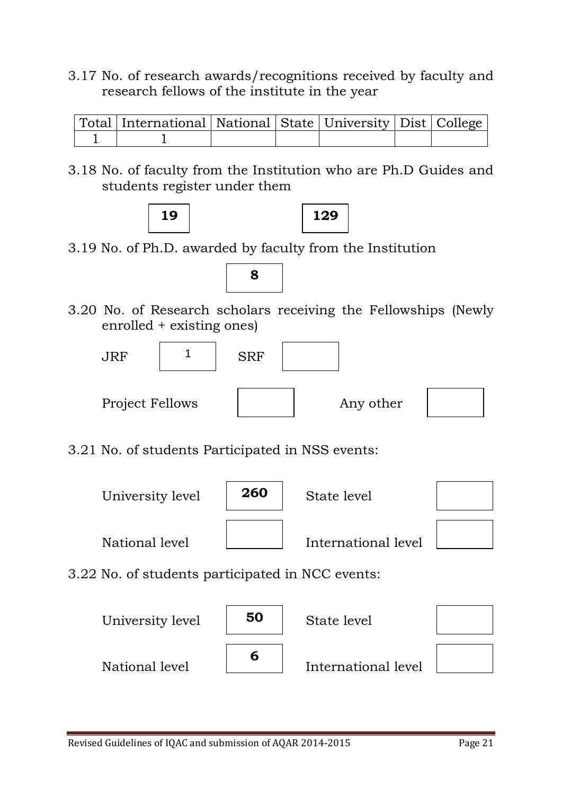3.17 No. of research awards/recognitions received by faculty and research fellows of the institute in the year

| Total   International   National   State   University   Dist   College |  |  |  |
|------------------------------------------------------------------------|--|--|--|
|                                                                        |  |  |  |

3.18 No. of faculty from the Institution who are Ph.D Guides and students register under them





3.19 No. of Ph.D. awarded by faculty from the Institution



3.20 No. of Research scholars receiving the Fellowships (Newly enrolled + existing ones)



3.21 No. of students Participated in NSS events:



3.22 No. of students participated in NCC events:

| University level | 50 | State level         |  |
|------------------|----|---------------------|--|
| National level   | n  | International level |  |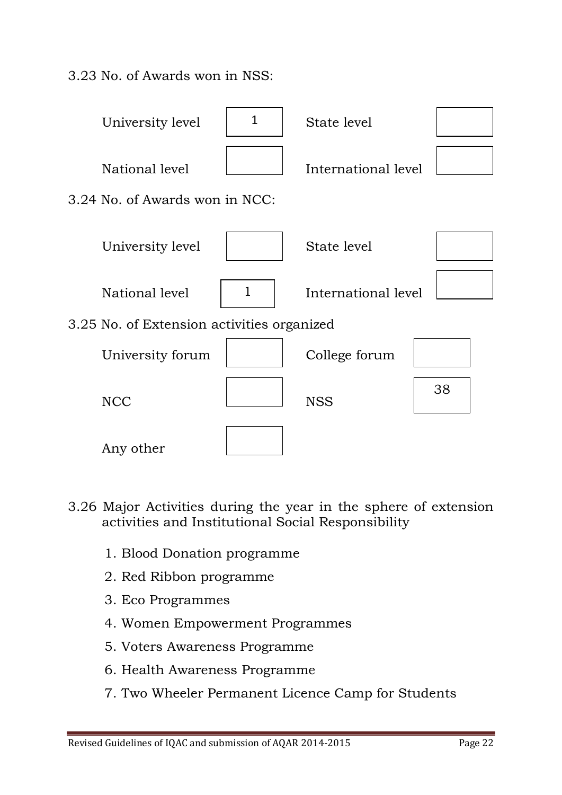3.23 No. of Awards won in NSS:



- 3.26 Major Activities during the year in the sphere of extension activities and Institutional Social Responsibility
	- 1. Blood Donation programme
	- 2. Red Ribbon programme
	- 3. Eco Programmes
	- 4. Women Empowerment Programmes
	- 5. Voters Awareness Programme
	- 6. Health Awareness Programme
	- 7. Two Wheeler Permanent Licence Camp for Students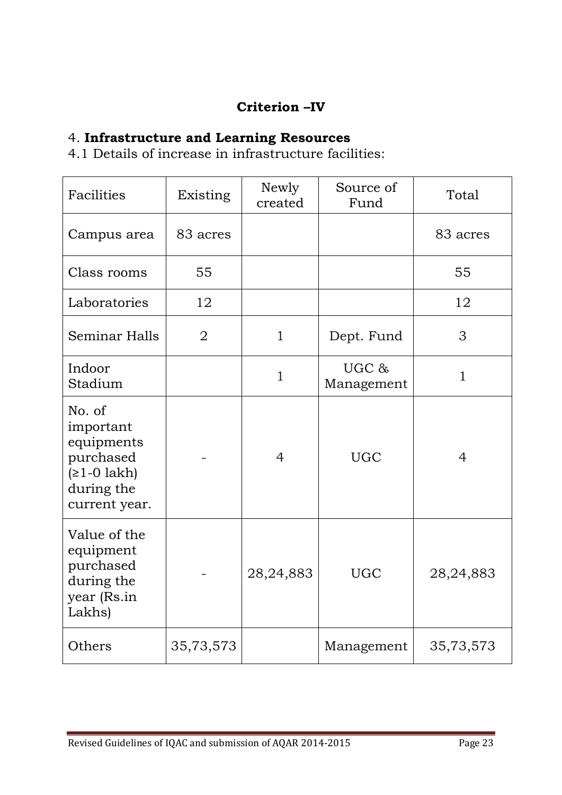# **Criterion –IV**

# 4. **Infrastructure and Learning Resources**

4.1 Details of increase in infrastructure facilities:

| Facilities                                                                                     | Existing       | Newly<br>created | Source of<br>Fund   | Total          |
|------------------------------------------------------------------------------------------------|----------------|------------------|---------------------|----------------|
| Campus area                                                                                    | 83 acres       |                  |                     | 83 acres       |
| Class rooms                                                                                    | 55             |                  |                     | 55             |
| Laboratories                                                                                   | 12             |                  |                     | 12             |
| <b>Seminar Halls</b>                                                                           | $\overline{2}$ | $\mathbf{1}$     | Dept. Fund          | 3              |
| Indoor<br>Stadium                                                                              |                | $\mathbf{1}$     | UGC &<br>Management | $\mathbf{1}$   |
| No. of<br>important<br>equipments<br>purchased<br>$(≥1-0$ lakh)<br>during the<br>current year. |                | $\overline{4}$   | <b>UGC</b>          | $\overline{4}$ |
| Value of the<br>equipment<br>purchased<br>during the<br>year (Rs.in<br>Lakhs)                  |                | 28, 24, 883      | <b>UGC</b>          | 28, 24, 883    |
| Others                                                                                         | 35,73,573      |                  | Management          | 35,73,573      |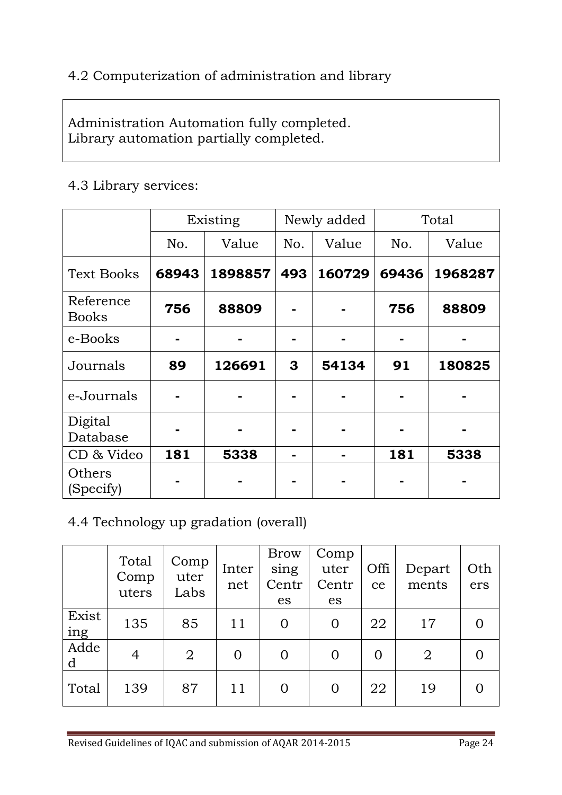# 4.2 Computerization of administration and library

Administration Automation fully completed. Library automation partially completed.

#### 4.3 Library services:

|                           | Existing |         |     | Newly added | Total |         |  |
|---------------------------|----------|---------|-----|-------------|-------|---------|--|
|                           | No.      | Value   | No. | Value       | No.   | Value   |  |
| <b>Text Books</b>         | 68943    | 1898857 | 493 | 160729      | 69436 | 1968287 |  |
| Reference<br><b>Books</b> | 756      | 88809   |     |             | 756   | 88809   |  |
| e-Books                   |          |         |     |             |       |         |  |
| Journals                  | 89       | 126691  | 3   | 54134       | 91    | 180825  |  |
| e-Journals                |          |         |     |             |       |         |  |
| Digital<br>Database       |          |         |     |             |       |         |  |
| CD & Video                | 181      | 5338    |     |             | 181   | 5338    |  |
| Others<br>(Specify)       |          |         |     |             |       |         |  |

#### 4.4 Technology up gradation (overall)

|                     | Total<br>Comp<br>uters | Comp<br>uter<br>Labs | Inter<br>net | <b>Brow</b><br>sing<br>Centr<br>es | Comp<br>uter<br>Centr<br>es | Offi<br>ce     | Depart<br>ments | Oth<br>ers |
|---------------------|------------------------|----------------------|--------------|------------------------------------|-----------------------------|----------------|-----------------|------------|
| Exist<br><u>ing</u> | 135                    | 85                   | 11           | $\Omega$                           | $\overline{0}$              | 22             | 17              |            |
| Adde<br>d           | $\overline{4}$         | $\overline{2}$       | $\Omega$     | 0                                  | 0                           | $\overline{0}$ | $\overline{2}$  |            |
| Total               | 139                    | 87                   | 11           |                                    | $\overline{0}$              | 22             | 19              |            |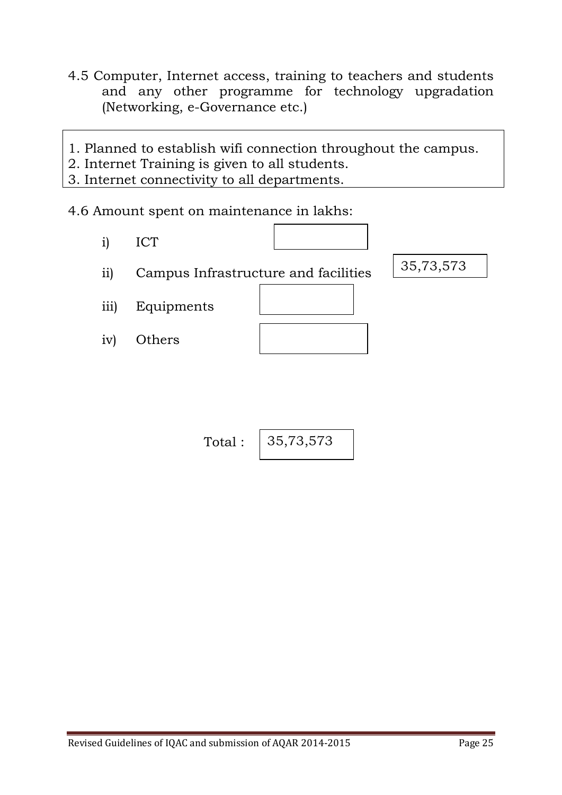- 4.5 Computer, Internet access, training to teachers and students and any other programme for technology upgradation (Networking, e-Governance etc.)
- 1. Planned to establish wifi connection throughout the campus.
- 2. Internet Training is given to all students.
- 3. Internet connectivity to all departments.

#### 4.6 Amount spent on maintenance in lakhs:

- i) ICT
- ii) Campus Infrastructure and facilities

35,73,573

- iii) Equipments
- iv) Others

Total : 35,73,573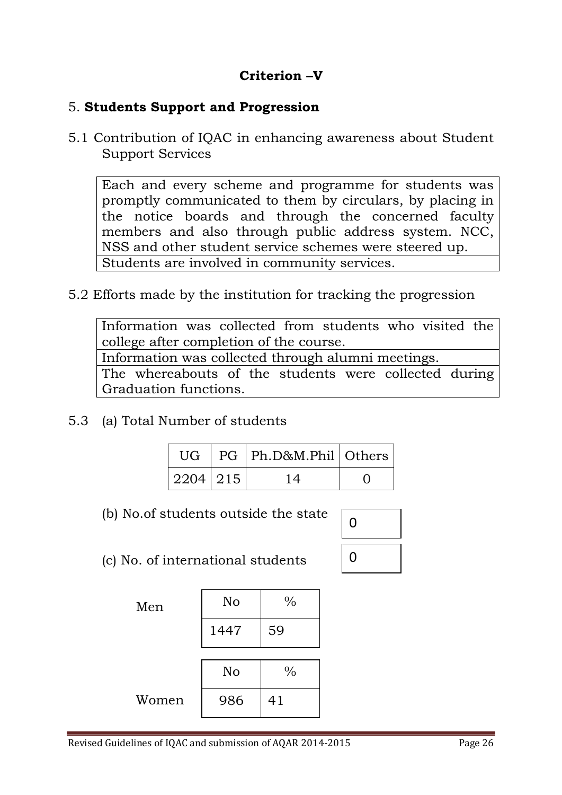# **Criterion –V**

#### 5. **Students Support and Progression**

5.1 Contribution of IQAC in enhancing awareness about Student Support Services

Each and every scheme and programme for students was promptly communicated to them by circulars, by placing in the notice boards and through the concerned faculty members and also through public address system. NCC, NSS and other student service schemes were steered up. Students are involved in community services.

5.2 Efforts made by the institution for tracking the progression

Information was collected from students who visited the college after completion of the course. Information was collected through alumni meetings.

The whereabouts of the students were collected during Graduation functions.

5.3 (a) Total Number of students

|          | UG   PG   Ph.D&M.Phil   Others |  |
|----------|--------------------------------|--|
| 2204 215 | 14                             |  |

(b) No.of students outside the state

| 0 |  |
|---|--|
| 0 |  |

(c) No. of international students

| Men   | No   | $\%$ |
|-------|------|------|
|       | 1447 | 59   |
|       |      |      |
|       | No   | $\%$ |
| Women | 986  | 41   |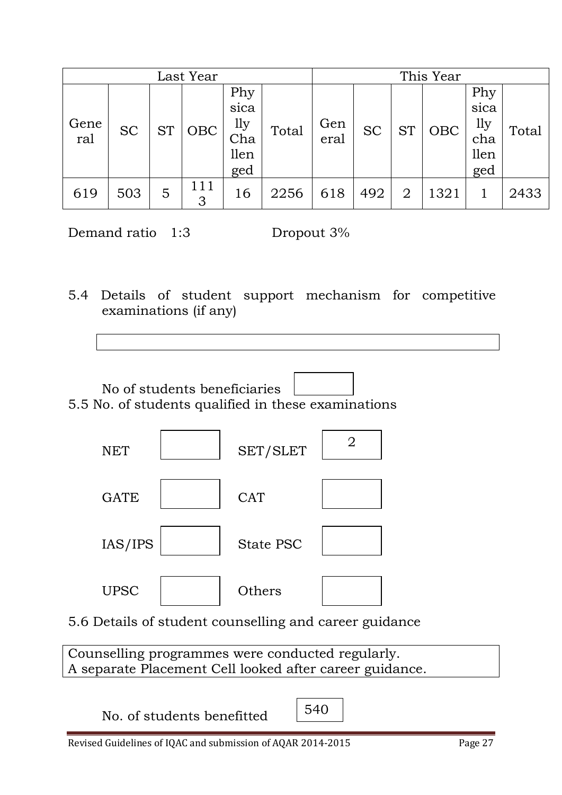| Last Year   |           |           |          |                                          | This Year |             |           |                |            |                                          |       |
|-------------|-----------|-----------|----------|------------------------------------------|-----------|-------------|-----------|----------------|------------|------------------------------------------|-------|
| Gene<br>ral | <b>SC</b> | <b>ST</b> | OBC      | Phy<br>sica<br>1ly<br>Cha<br>llen<br>ged | Total     | Gen<br>eral | <b>SC</b> | <b>ST</b>      | <b>OBC</b> | Phy<br>sica<br>1ly<br>cha<br>llen<br>ged | Total |
| 619         | 503       | 5         | 111<br>3 | 16                                       | 2256      | 618         | 492       | $\overline{2}$ | 1321       |                                          | 2433  |

Demand ratio 1:3 Dropout 3%

5.4 Details of student support mechanism for competitive examinations (if any)



5.5 No. of students qualified in these examinations



5.6 Details of student counselling and career guidance

Counselling programmes were conducted regularly. A separate Placement Cell looked after career guidance.

No. of students benefitted

540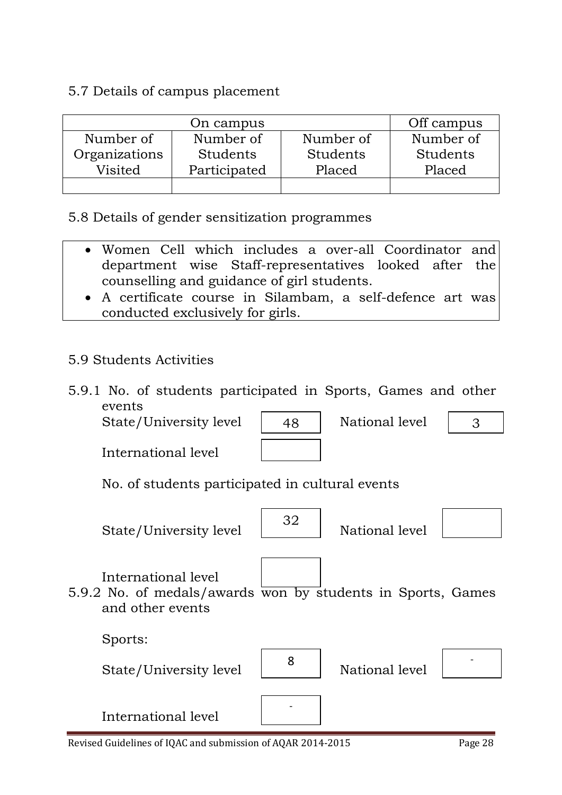#### 5.7 Details of campus placement

|               | Off campus   |           |           |
|---------------|--------------|-----------|-----------|
| Number of     | Number of    | Number of | Number of |
| Organizations | Students     | Students  | Students  |
| Visited       | Participated | Placed    | Placed    |
|               |              |           |           |

- 5.8 Details of gender sensitization programmes
	- Women Cell which includes a over-all Coordinator and department wise Staff-representatives looked after the counselling and guidance of girl students.
	- A certificate course in Silambam, a self-defence art was conducted exclusively for girls.

#### 5.9 Students Activities

5.9.1 No. of students participated in Sports, Games and other events

State/University level | 48 | National level

International level

| 48 | Nation |
|----|--------|
|    |        |

No. of students participated in cultural events

State/University level  $\begin{array}{|c|c|c|} \hline \end{array}$  National level



3

International level

5.9.2 No. of medals/awards won by students in Sports, Games and other events

-

Sports:



International level

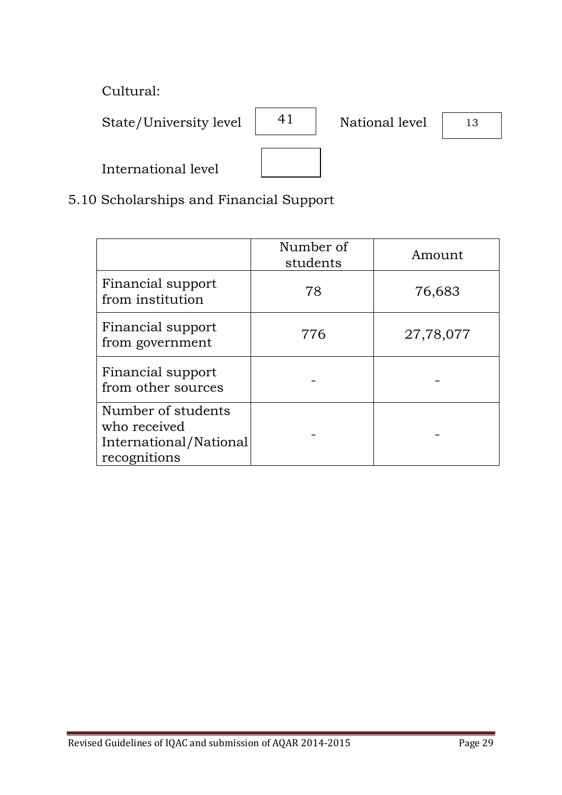Cultural:

State/University level  $\begin{vmatrix} 41 \end{vmatrix}$ 

National level  $\boxed{13}$ 

International level

# 5.10 Scholarships and Financial Support

|                                                                              | Number of<br>students | Amount    |
|------------------------------------------------------------------------------|-----------------------|-----------|
| Financial support<br>from institution                                        | 78                    | 76,683    |
| Financial support<br>from government                                         | 776                   | 27,78,077 |
| Financial support<br>from other sources                                      |                       |           |
| Number of students<br>who received<br>International/National<br>recognitions |                       |           |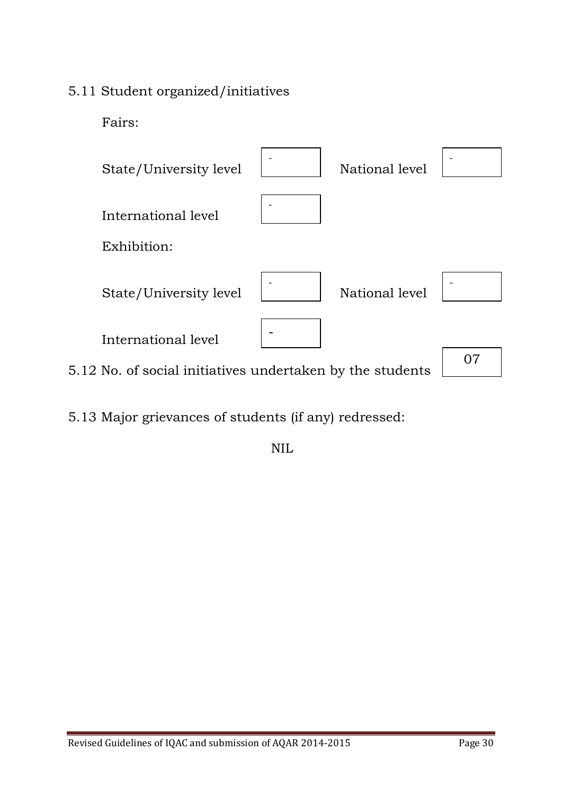# 5.11 Student organized/initiatives

Fairs:



5.13 Major grievances of students (if any) redressed:

NIL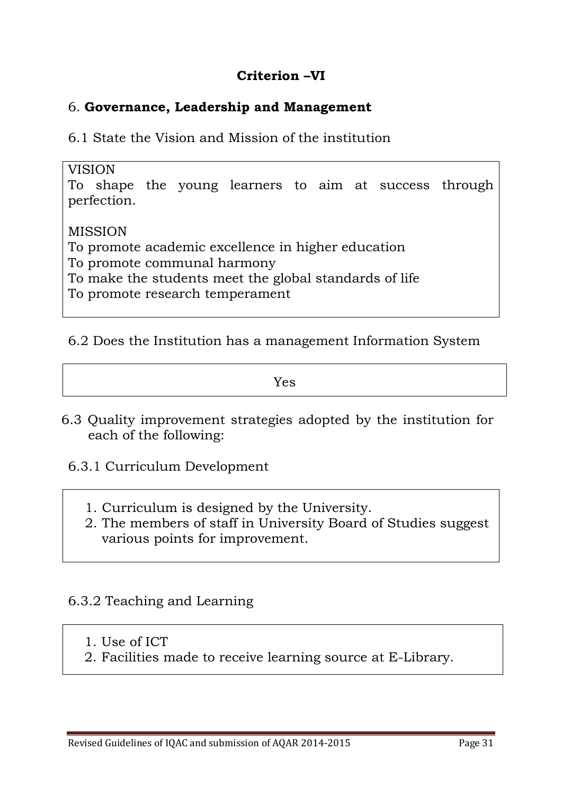#### **Criterion –VI**

#### 6. **Governance, Leadership and Management**

6.1 State the Vision and Mission of the institution

#### VISION

To shape the young learners to aim at success through perfection.

#### MISSION

To promote academic excellence in higher education

To promote communal harmony

To make the students meet the global standards of life

To promote research temperament

#### 6.2 Does the Institution has a management Information System

Yes

- 6.3 Quality improvement strategies adopted by the institution for each of the following:
	- 6.3.1 Curriculum Development
		- 1. Curriculum is designed by the University.
		- 2. The members of staff in University Board of Studies suggest various points for improvement.

# 6.3.2 Teaching and Learning

- 1. Use of ICT
- 2. Facilities made to receive learning source at E-Library.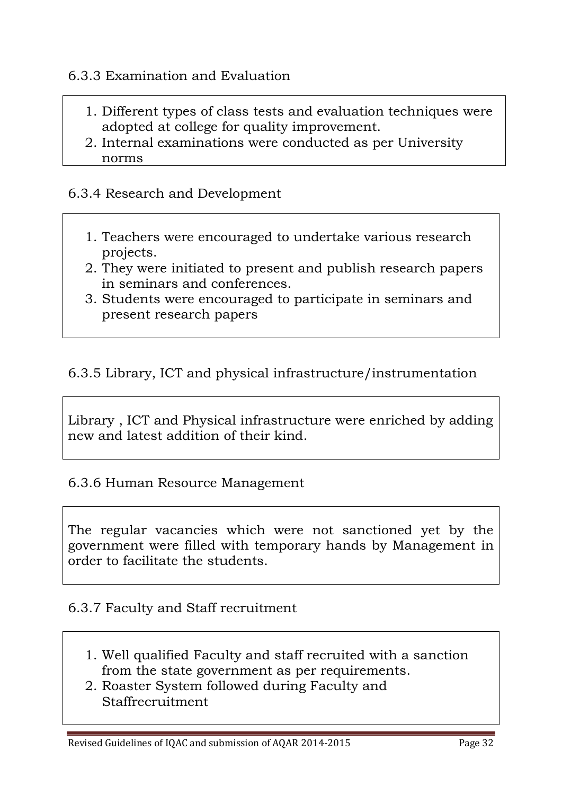#### 6.3.3 Examination and Evaluation

- 1. Different types of class tests and evaluation techniques were adopted at college for quality improvement.
- 2. Internal examinations were conducted as per University norms

#### 6.3.4 Research and Development

- 1. Teachers were encouraged to undertake various research projects.
- 2. They were initiated to present and publish research papers in seminars and conferences.
- 3. Students were encouraged to participate in seminars and present research papers

#### 6.3.5 Library, ICT and physical infrastructure/instrumentation

Library , ICT and Physical infrastructure were enriched by adding new and latest addition of their kind.

#### 6.3.6 Human Resource Management

The regular vacancies which were not sanctioned yet by the government were filled with temporary hands by Management in order to facilitate the students.

#### 6.3.7 Faculty and Staff recruitment

- 1. Well qualified Faculty and staff recruited with a sanction from the state government as per requirements.
- 2. Roaster System followed during Faculty and Staffrecruitment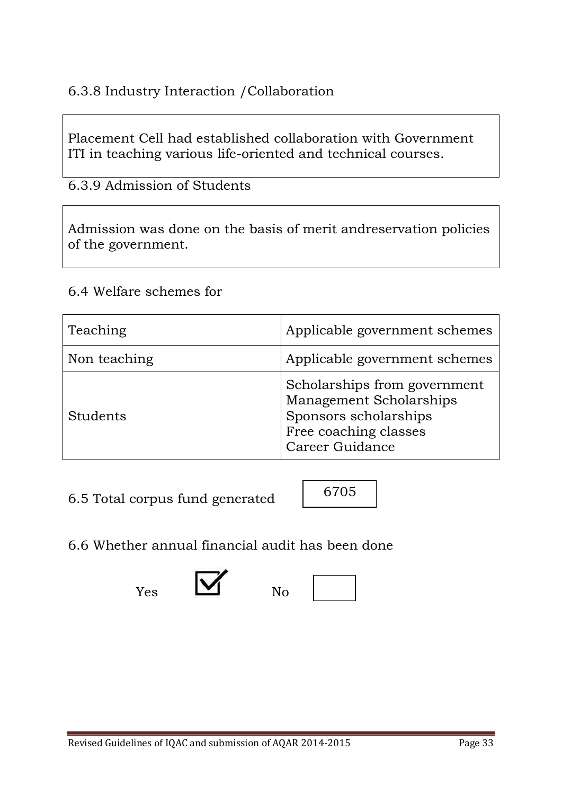# 6.3.8 Industry Interaction /Collaboration

Placement Cell had established collaboration with Government ITI in teaching various life-oriented and technical courses.

6.3.9 Admission of Students

Admission was done on the basis of merit andreservation policies of the government.

#### 6.4 Welfare schemes for

| Teaching     | Applicable government schemes                                                                                                |
|--------------|------------------------------------------------------------------------------------------------------------------------------|
| Non teaching | Applicable government schemes                                                                                                |
| Students     | Scholarships from government<br>Management Scholarships<br>Sponsors scholarships<br>Free coaching classes<br>Career Guidance |

6.5 Total corpus fund generated

# 6.6 Whether annual financial audit has been done

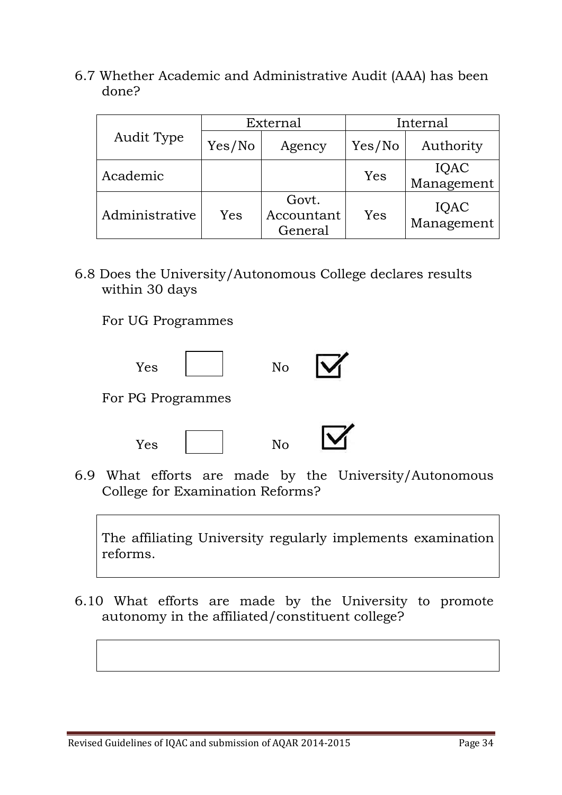6.7 Whether Academic and Administrative Audit (AAA) has been done?

| Audit Type     | External |                                | Internal |                    |
|----------------|----------|--------------------------------|----------|--------------------|
|                | Yes/No   | Agency                         | Yes/No   | Authority          |
| Academic       |          |                                | Yes      | IQAC<br>Management |
| Administrative | Yes      | Govt.<br>Accountant<br>General | Yes      | IQAC<br>Management |

6.8 Does the University/Autonomous College declares results within 30 days

For UG Programmes





6.9 What efforts are made by the University/Autonomous College for Examination Reforms?

The affiliating University regularly implements examination reforms.

6.10 What efforts are made by the University to promote autonomy in the affiliated/constituent college?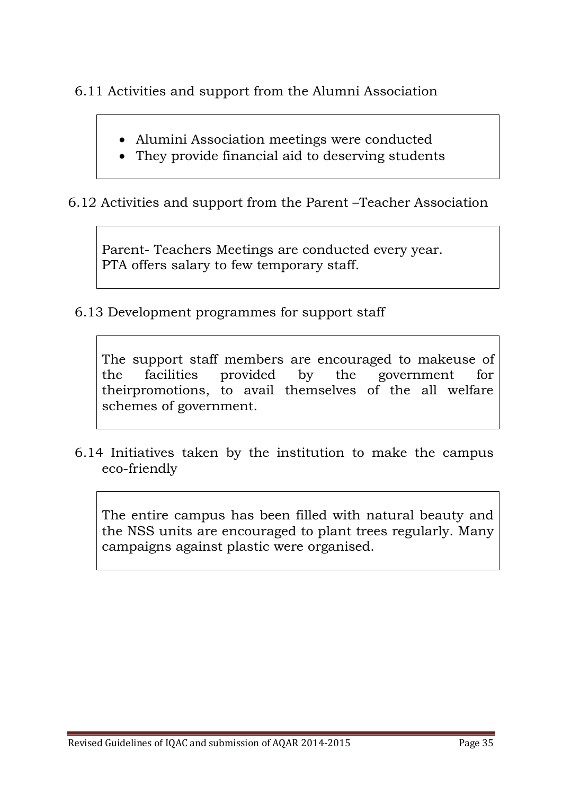6.11 Activities and support from the Alumni Association

- Alumini Association meetings were conducted
- They provide financial aid to deserving students

6.12 Activities and support from the Parent –Teacher Association

Parent- Teachers Meetings are conducted every year. PTA offers salary to few temporary staff.

6.13 Development programmes for support staff

The support staff members are encouraged to makeuse of the facilities provided by the government for theirpromotions, to avail themselves of the all welfare schemes of government.

6.14 Initiatives taken by the institution to make the campus eco-friendly

The entire campus has been filled with natural beauty and the NSS units are encouraged to plant trees regularly. Many campaigns against plastic were organised.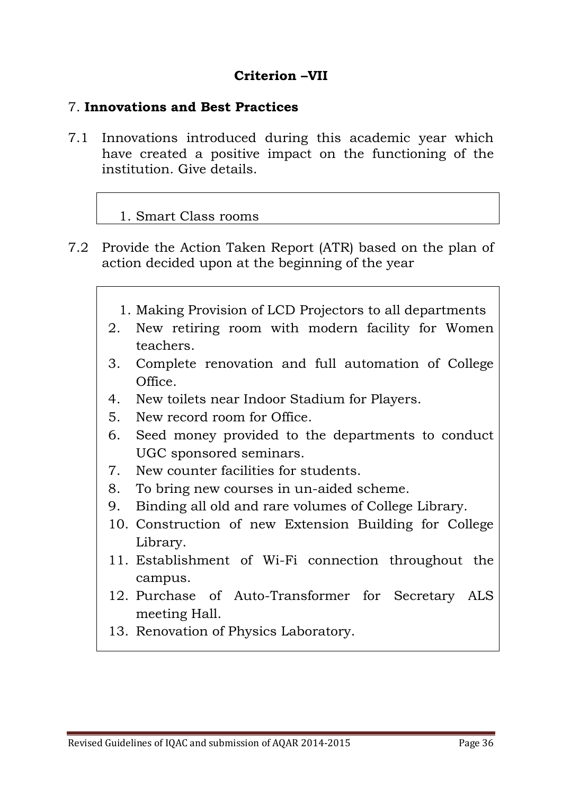#### **Criterion –VII**

#### 7. **Innovations and Best Practices**

7.1 Innovations introduced during this academic year which have created a positive impact on the functioning of the institution. Give details.

#### 1. Smart Class rooms

- 7.2 Provide the Action Taken Report (ATR) based on the plan of action decided upon at the beginning of the year
	- 1. Making Provision of LCD Projectors to all departments
	- 2. New retiring room with modern facility for Women teachers.
	- 3. Complete renovation and full automation of College Office.
	- 4. New toilets near Indoor Stadium for Players.
	- 5. New record room for Office.
	- 6. Seed money provided to the departments to conduct UGC sponsored seminars.
	- 7. New counter facilities for students.
	- 8. To bring new courses in un-aided scheme.
	- 9. Binding all old and rare volumes of College Library.
	- 10. Construction of new Extension Building for College Library.
	- 11. Establishment of Wi-Fi connection throughout the campus.
	- 12. Purchase of Auto-Transformer for Secretary ALS meeting Hall.
	- 13. Renovation of Physics Laboratory.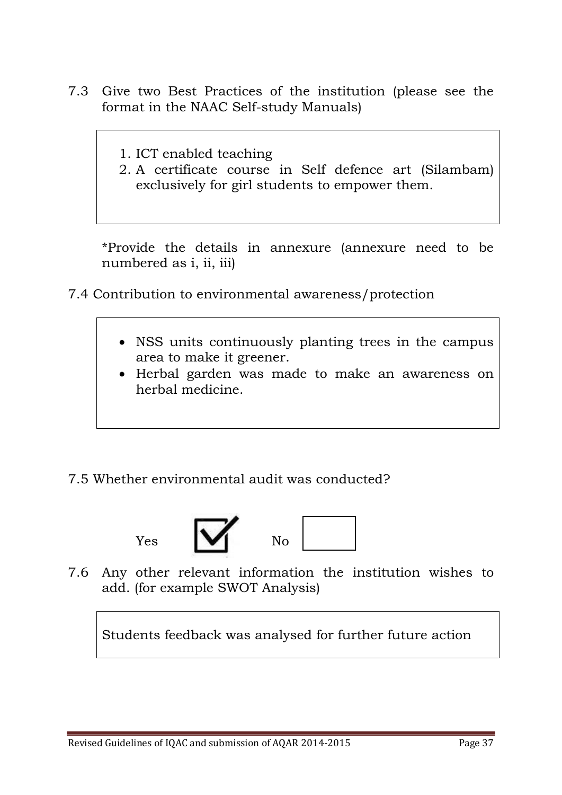- 7.3 Give two Best Practices of the institution (please see the format in the NAAC Self-study Manuals)
	- 1. ICT enabled teaching
	- 2. A certificate course in Self defence art (Silambam) exclusively for girl students to empower them.

 \*Provide the details in annexure (annexure need to be numbered as i, ii, iii)

- 7.4 Contribution to environmental awareness/protection
	- NSS units continuously planting trees in the campus area to make it greener.
	- Herbal garden was made to make an awareness on herbal medicine.

# 7.5 Whether environmental audit was conducted?



7.6 Any other relevant information the institution wishes to add. (for example SWOT Analysis)

Students feedback was analysed for further future action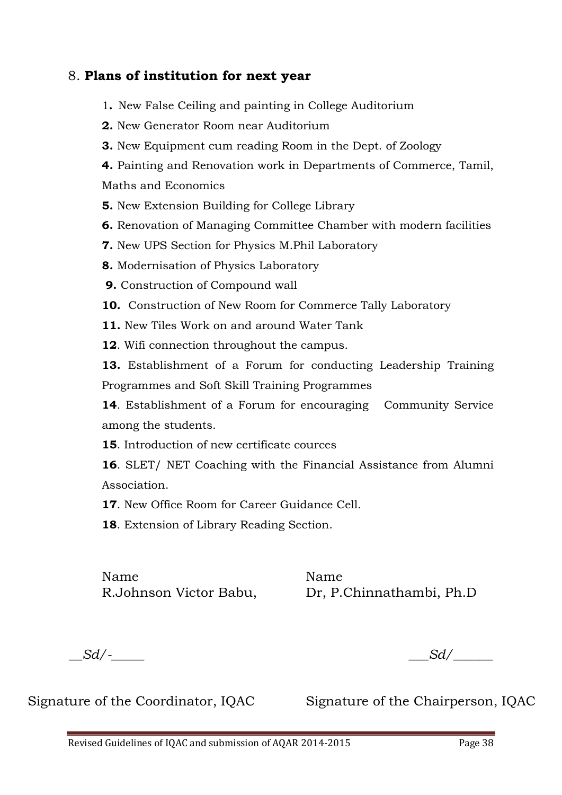#### 8. **Plans of institution for next year**

- 1**.** New False Ceiling and painting in College Auditorium
- **2.** New Generator Room near Auditorium
- **3.** New Equipment cum reading Room in the Dept. of Zoology

**4.** Painting and Renovation work in Departments of Commerce, Tamil, Maths and Economics

- **5.** New Extension Building for College Library
- **6.** Renovation of Managing Committee Chamber with modern facilities
- **7.** New UPS Section for Physics M.Phil Laboratory
- **8.** Modernisation of Physics Laboratory
- **9.** Construction of Compound wall
- **10.** Construction of New Room for Commerce Tally Laboratory
- **11.** New Tiles Work on and around Water Tank

**12**. Wifi connection throughout the campus.

**13.** Establishment of a Forum for conducting Leadership Training Programmes and Soft Skill Training Programmes

**14**. Establishment of a Forum for encouraging Community Service among the students.

**15**. Introduction of new certificate cources

**16**. SLET/ NET Coaching with the Financial Assistance from Alumni Association.

**17**. New Office Room for Career Guidance Cell.

**18**. Extension of Library Reading Section.

Name Name

R.Johnson Victor Babu, Dr, P.Chinnathambi, Ph.D

 $Sd$ <sup>-</sup>

Signature of the Coordinator, IQAC Signature of the Chairperson, IQAC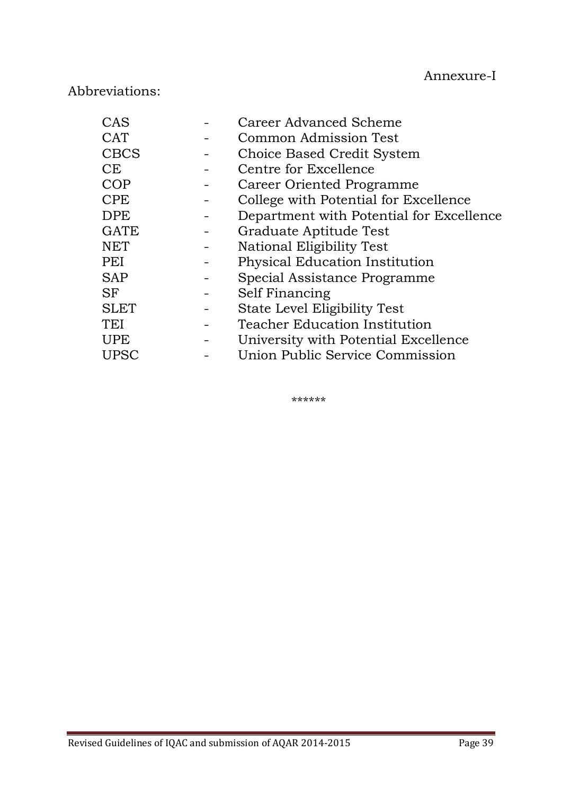# Abbreviations:

| CAS         | Career Advanced Scheme                   |
|-------------|------------------------------------------|
| <b>CAT</b>  | <b>Common Admission Test</b>             |
| <b>CBCS</b> | Choice Based Credit System               |
| CE          | Centre for Excellence                    |
| COP         | Career Oriented Programme                |
| <b>CPE</b>  | College with Potential for Excellence    |
| <b>DPE</b>  | Department with Potential for Excellence |
| <b>GATE</b> | Graduate Aptitude Test                   |
| <b>NET</b>  | National Eligibility Test                |
| PEI         | Physical Education Institution           |
| <b>SAP</b>  | Special Assistance Programme             |
| <b>SF</b>   | Self Financing                           |
| <b>SLET</b> | State Level Eligibility Test             |
| TEI         | <b>Teacher Education Institution</b>     |
| UPE         | University with Potential Excellence     |
| UPSC        | Union Public Service Commission          |
|             |                                          |

\*\*\*\*\*\*